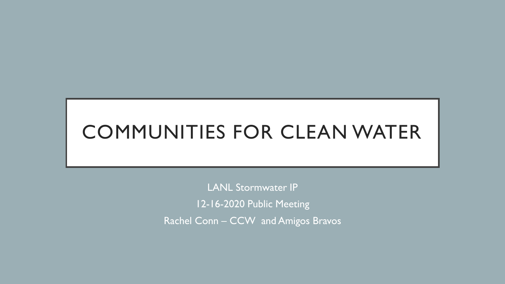## COMMUNITIES FOR CLEAN WATER

LANL Stormwater IP 12-16-2020 Public Meeting Rachel Conn – CCW and Amigos Bravos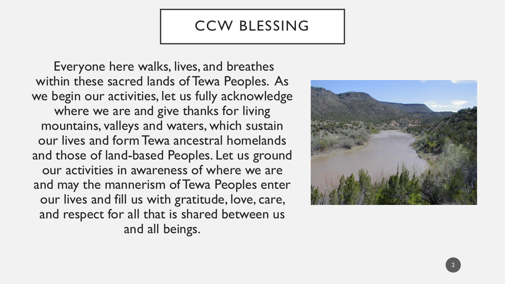#### CCW BLESSING

Everyone here walks, lives, and breathes within these sacred lands of Tewa Peoples. As we begin our activities, let us fully acknowledge where we are and give thanks for living mountains, valleys and waters, which sustain our lives and form Tewa ancestral homelands and those of land-based Peoples. Let us ground our activities in awareness of where we are and may the mannerism of Tewa Peoples enter our lives and fill us with gratitude, love, care, and respect for all that is shared between us and all beings.



2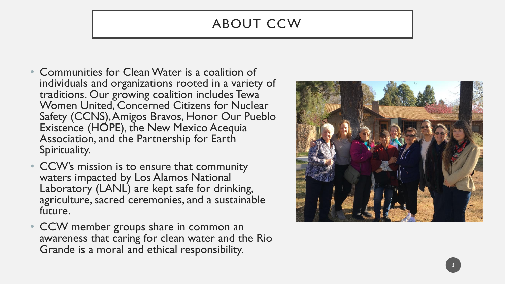#### ABOUT CCW

- Communities for Clean Water is a coalition of individuals and organizations rooted in a variety of traditions. Our growing coalition includes Tewa Women United, Concerned Citizens for Nuclear Safety (CCNS), Amigos Bravos, Honor Our Pueblo Existence (HOPE), the New Mexico Acequia Association, and the Partnership for Earth Spirituality.
- CCW's mission is to ensure that community waters impacted by Los Alamos National Laboratory (LANL) are kept safe for drinking, agriculture, sacred ceremonies, and a sustainable future.
- CCW member groups share in common an awareness that caring for clean water and the Rio Grande is a moral and ethical responsibility.



3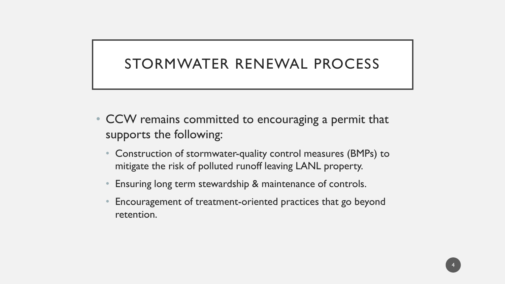#### STORMWATER RENEWAL PROCESS

- CCW remains committed to encouraging a permit that supports the following:
	- Construction of stormwater-quality control measures (BMPs) to mitigate the risk of polluted runoff leaving LANL property.
	- Ensuring long term stewardship & maintenance of controls.
	- Encouragement of treatment-oriented practices that go beyond retention.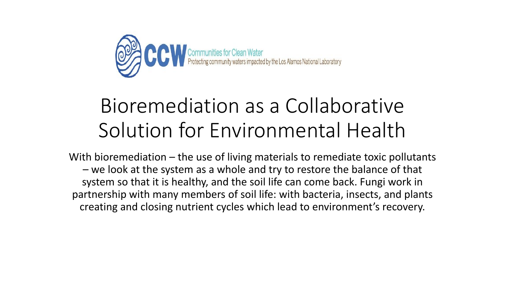

## Bioremediation as a Collaborative Solution for Environmental Health

With bioremediation – the use of living materials to remediate toxic pollutants – we look at the system as a whole and try to restore the balance of that system so that it is healthy, and the soil life can come back. Fungi work in partnership with many members of soil life: with bacteria, insects, and plants creating and closing nutrient cycles which lead to environment's recovery.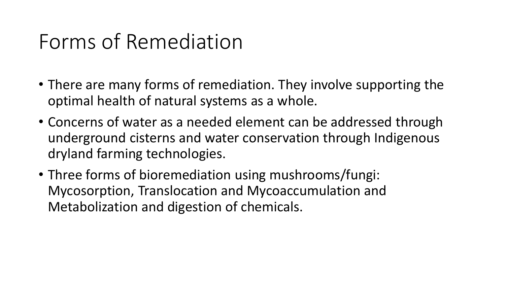## Forms of Remediation

- There are many forms of remediation. They involve supporting the optimal health of natural systems as a whole.
- Concerns of water as a needed element can be addressed through underground cisterns and water conservation through Indigenous dryland farming technologies.
- Three forms of bioremediation using mushrooms/fungi: Mycosorption, Translocation and Mycoaccumulation and Metabolization and digestion of chemicals.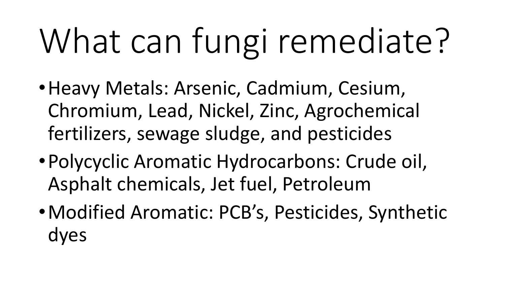# What can fungi remediate?

- •Heavy Metals: Arsenic, Cadmium, Cesium, Chromium, Lead, Nickel, Zinc, Agrochemical fertilizers, sewage sludge, and pesticides
- •Polycyclic Aromatic Hydrocarbons: Crude oil, Asphalt chemicals, Jet fuel, Petroleum
- •Modified Aromatic: PCB's, Pesticides, Synthetic dyes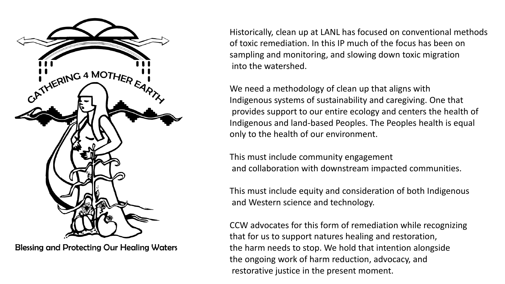

**Blessing and Protecting Our Healing Waters** 

Historically, clean up at LANL has focused on conventional methods of toxic remediation. In this IP much of the focus has been on sampling and monitoring, and slowing down toxic migration into the watershed.

We need a methodology of clean up that aligns with Indigenous systems of sustainability and caregiving. One that provides support to our entire ecology and centers the health of Indigenous and land-based Peoples. The Peoples health is equal only to the health of our environment.

This must include community engagement and collaboration with downstream impacted communities.

This must include equity and consideration of both Indigenous and Western science and technology.

CCW advocates for this form of remediation while recognizing that for us to support natures healing and restoration, the harm needs to stop. We hold that intention alongside the ongoing work of harm reduction, advocacy, and restorative justice in the present moment.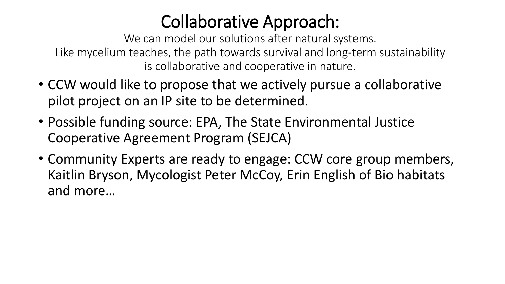## Collaborative Approach:

We can model our solutions after natural systems. Like mycelium teaches, the path towards survival and long-term sustainability is collaborative and cooperative in nature.

- CCW would like to propose that we actively pursue a collaborative pilot project on an IP site to be determined.
- Possible funding source: EPA, The State Environmental Justice Cooperative Agreement Program (SEJCA)
- Community Experts are ready to engage: CCW core group members, Kaitlin Bryson, Mycologist Peter McCoy, Erin English of Bio habitats and more…